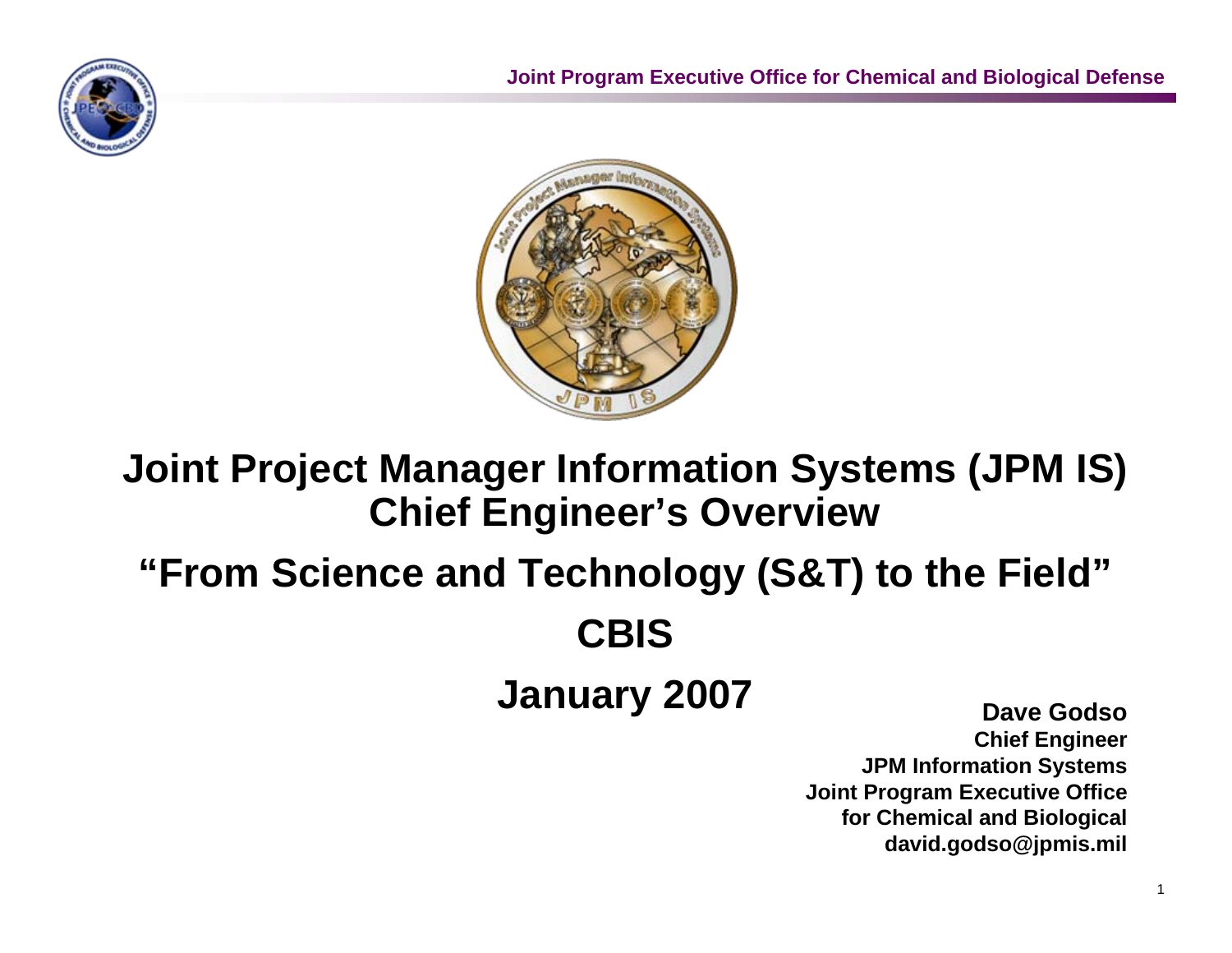



# **Joint Project Manager Information Systems (JPM IS) Chief Engineer's Overview**

# **"From Science and Technology (S&T) to the Field" CBIS**

# **January 2007**

**Dave GodsoChief Engineer JPM Information Systems Joint Program Executive Office for Chemical and Biological david.godso@jpmis.mil**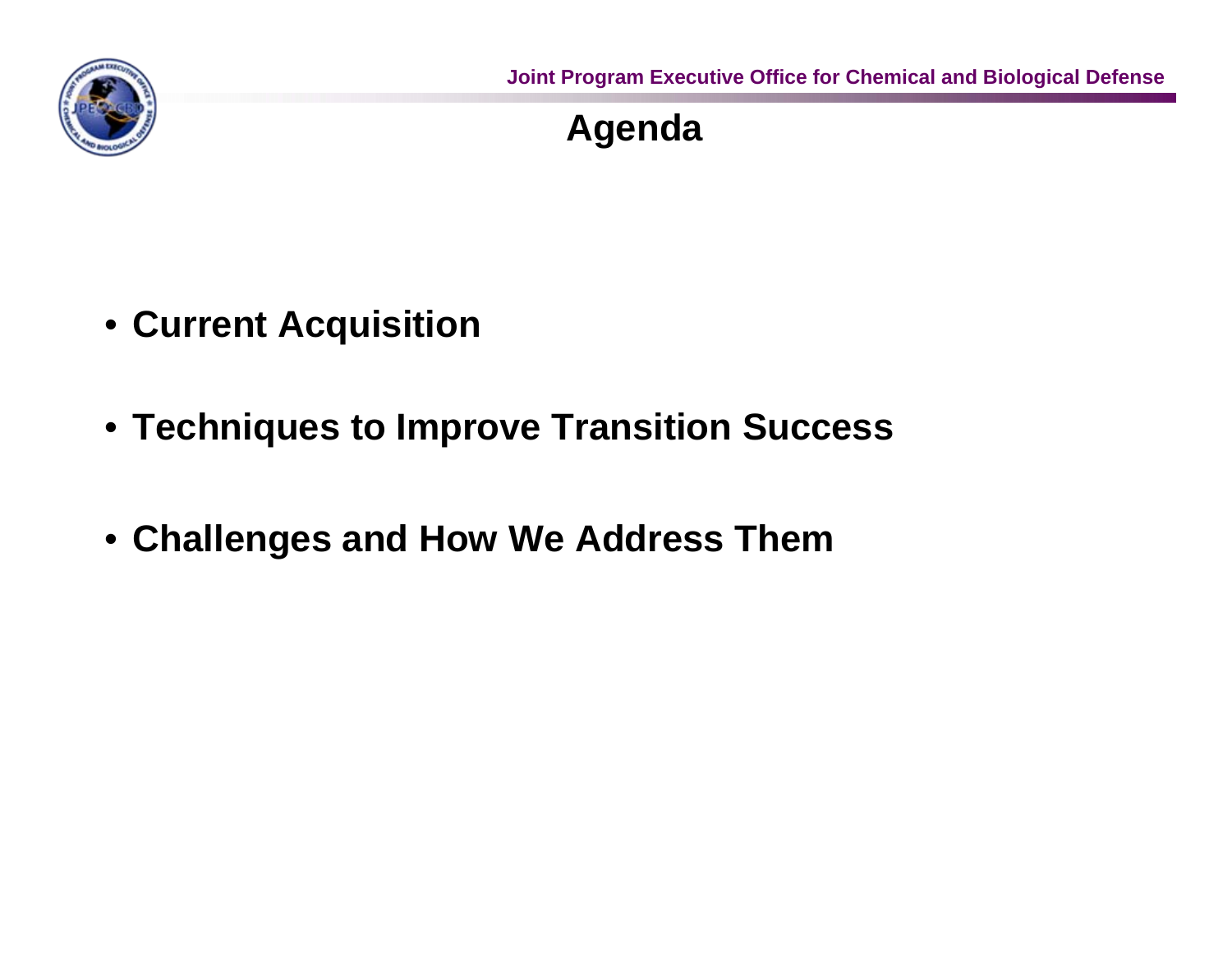

# **Agenda**

- **Current Acquisition**
- **Techniques to Improve Transition Success**
- **Challenges and How We Address Them**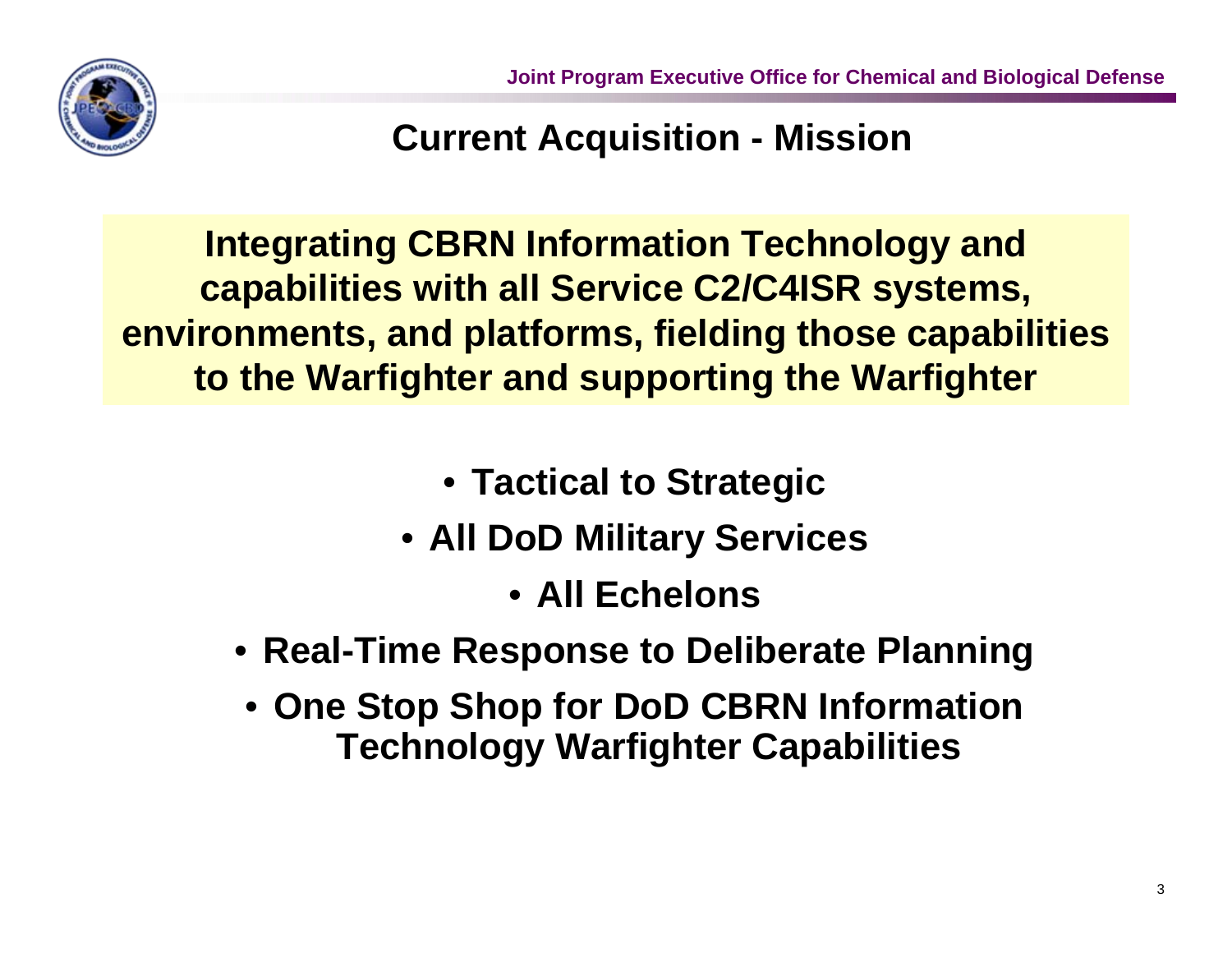

#### **Current Acquisition - Mission**

**Integrating CBRN Information Technology and capabilities with all Service C2/C4ISR systems, environments, and platforms, fielding those capabilities to the Warfighter and supporting the Warfighter**

- **Tactical to Strategic**
- **All DoD Military Services**
	- **All Echelons**
- **Real-Time Response to Deliberate Planning**
- **One Stop Shop for DoD CBRN Information Technology Warfighter Capabilities**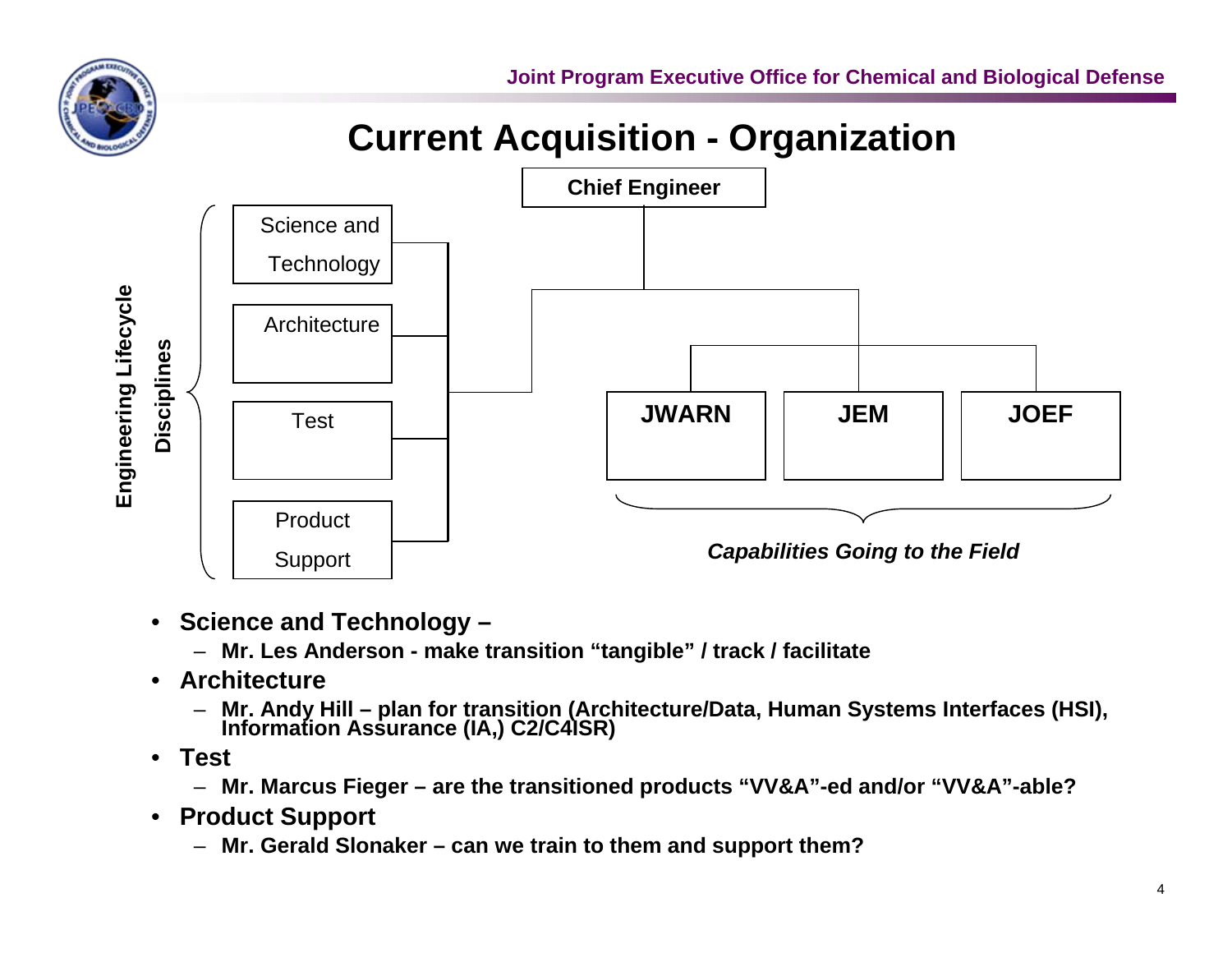

# **Current Acquisition - Organization**



- **Science and Technology –**
	- **Mr. Les Anderson make transition "tangible" / track / facilitate**
- **Architecture**
	- **Mr. Andy Hill plan for transition (Architecture/Data, Human Systems Interfaces (HSI), Information Assurance (IA,) C2/C4ISR)**
- **Test**
	- **Mr. Marcus Fieger are the transitioned products "VV&A"-ed and/or "VV&A"-able?**
- **Product Support**
	- **Mr. Gerald Slonaker can we train to them and support them?**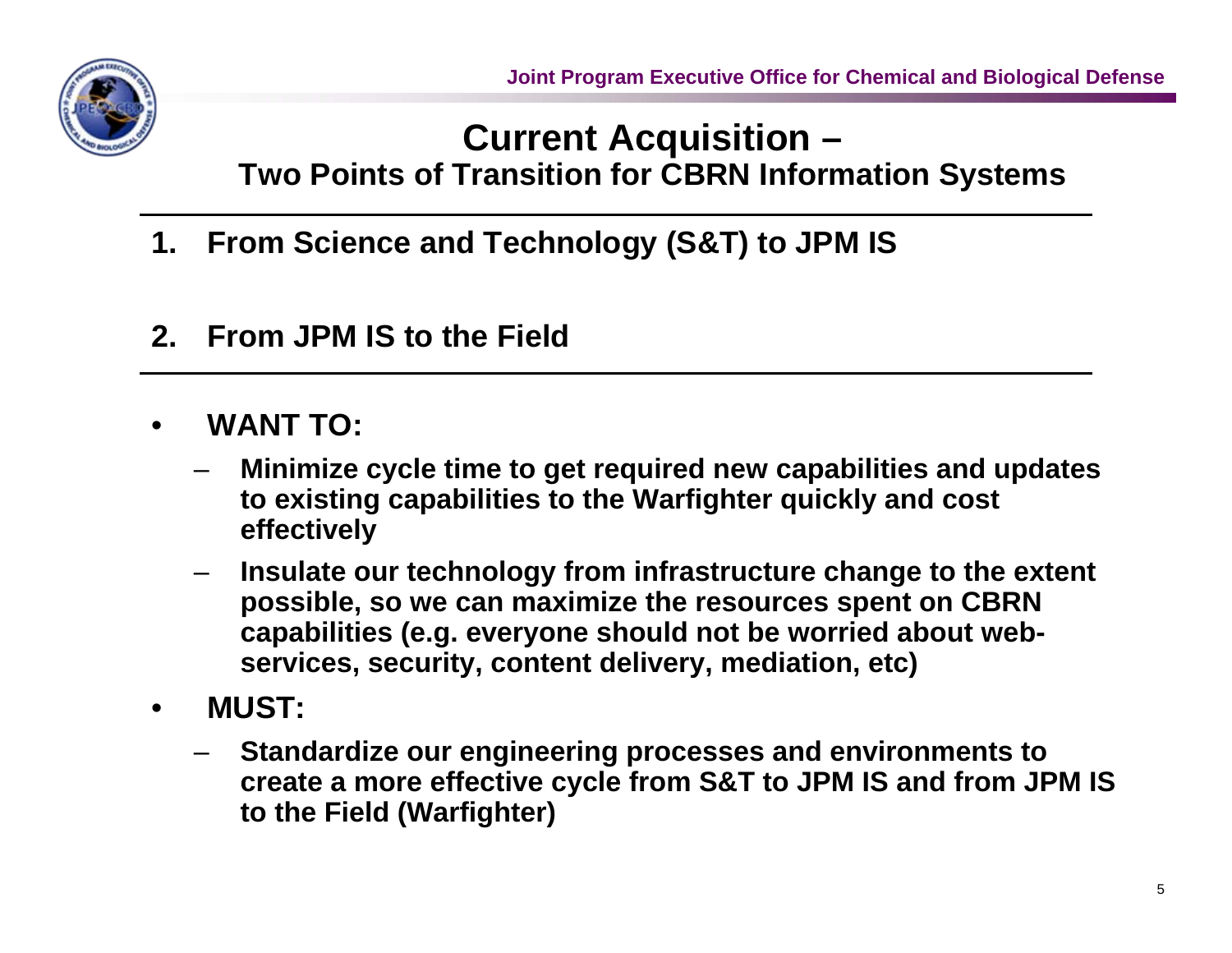#### **Current Acquisition – Two Points of Transition for CBRN Information Systems**

- **1. From Science and Technology (S&T) to JPM IS**
- **2. From JPM IS to the Field**
- **WANT TO:**
	- **Minimize cycle time to get required new capabilities and updates to existing capabilities to the Warfighter quickly and cost effectively**
	- **Insulate our technology from infrastructure change to the extent possible, so we can maximize the resources spent on CBRN capabilities (e.g. everyone should not be worried about webservices, security, content delivery, mediation, etc)**
- **MUST:**
	- **Standardize our engineering processes and environments to create a more effective cycle from S&T to JPM IS and from JPM IS to the Field (Warfighter)**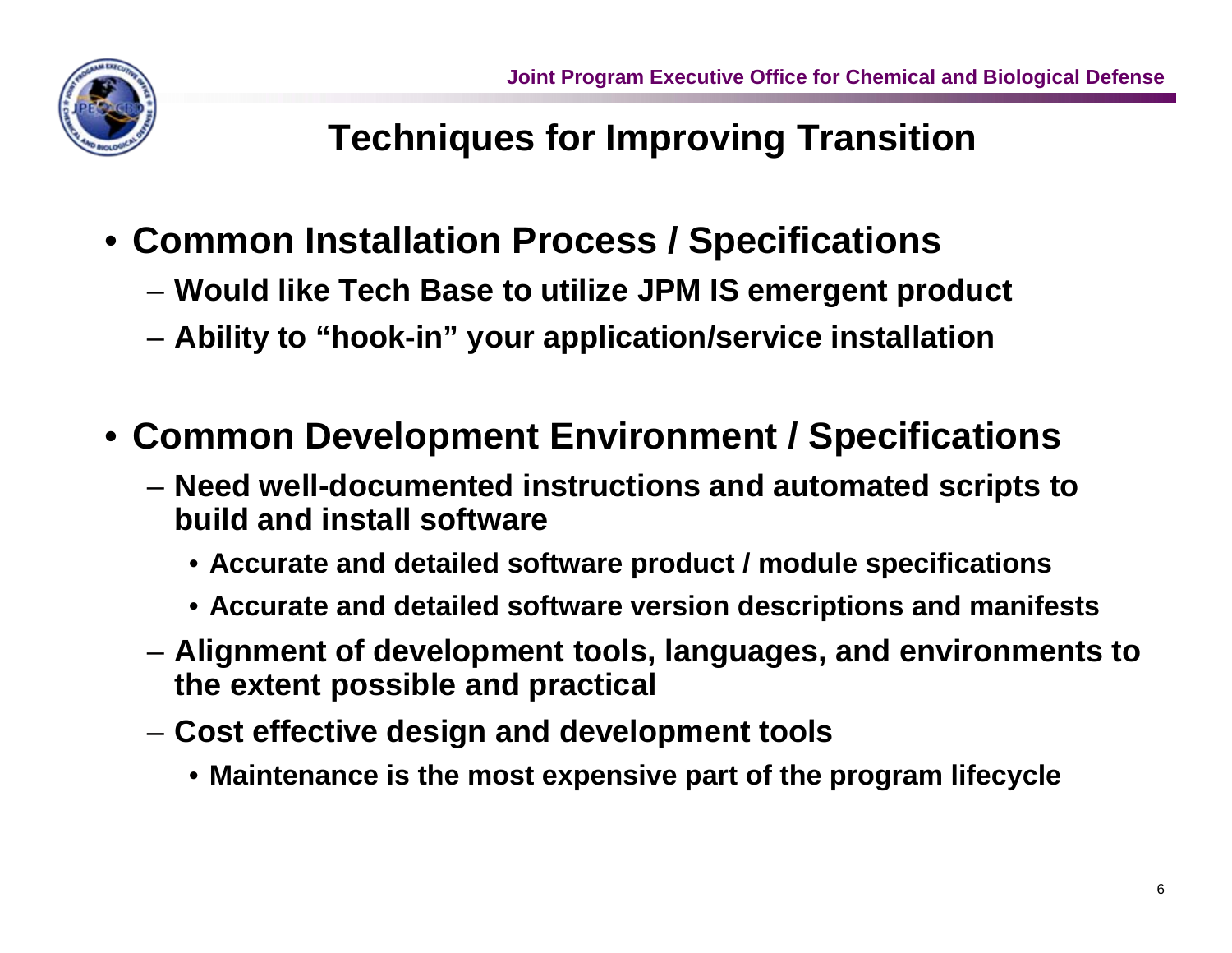# **Techniques for Improving Transition**

- **Common Installation Process / Specifications**
	- **Would like Tech Base to utilize JPM IS emergent product**
	- **Ability to "hook-in" your application/service installation**
- **Common Development Environment / Specifications**
	- **Need well-documented instructions and automated scripts to build and install software**
		- **Accurate and detailed software product / module specifications**
		- **Accurate and detailed software version descriptions and manifests**
	- **Alignment of development tools, languages, and environments to the extent possible and practical**
	- **Cost effective design and development tools**
		- **Maintenance is the most expensive part of the program lifecycle**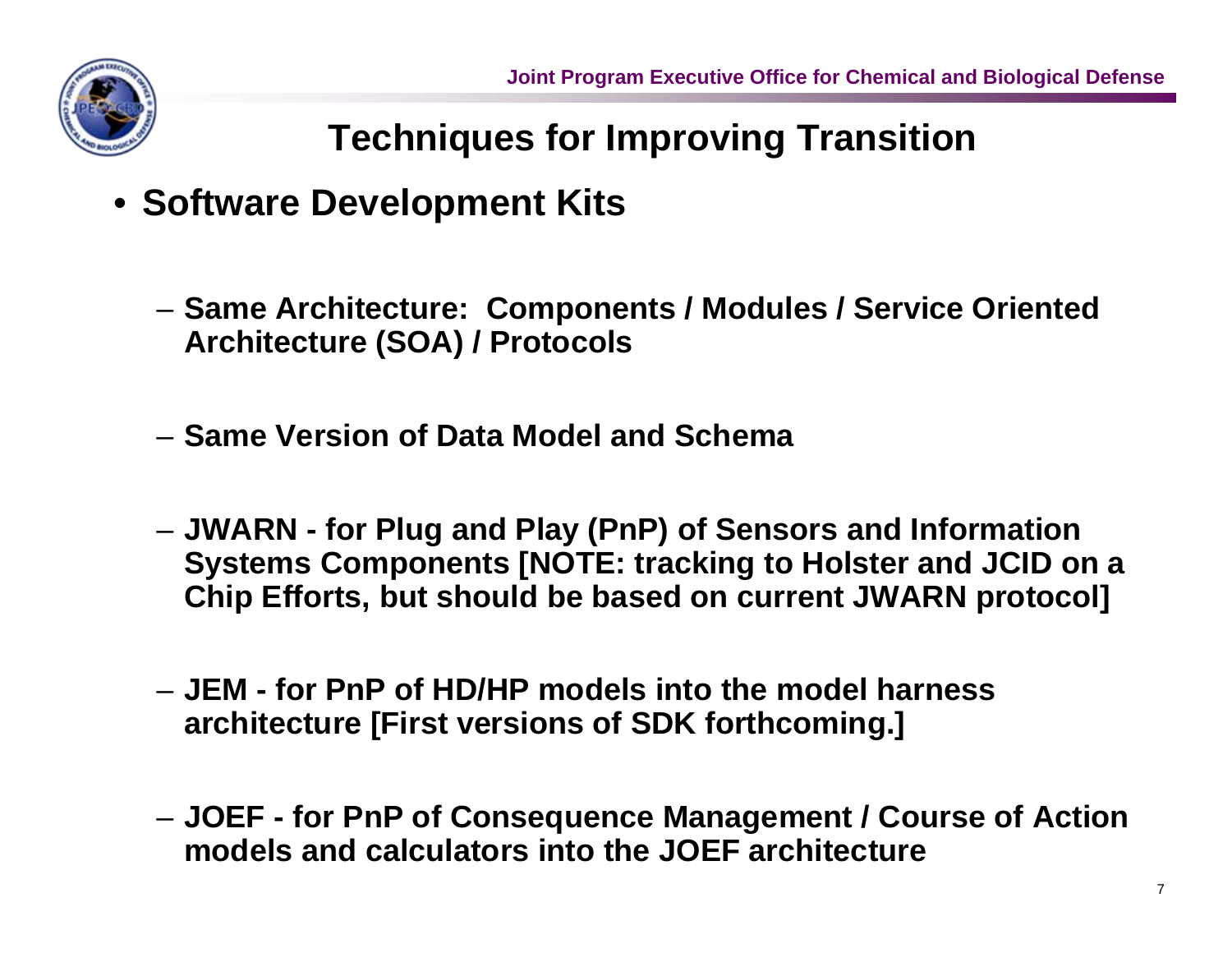

# **Techniques for Improving Transition**

- **Software Development Kits**
	- **Same Architecture: Components / Modules / Service Oriented Architecture (SOA) / Protocols**
	- **Same Version of Data Model and Schema**
	- **JWARN for Plug and Play (PnP) of Sensors and Information Systems Components [NOTE: tracking to Holster and JCID on a Chip Efforts, but should be based on current JWARN protocol]**
	- **JEM for PnP of HD/HP models into the model harness architecture [First versions of SDK forthcoming.]**
	- **JOEF for PnP of Consequence Management / Course of Action models and calculators into the JOEF architecture**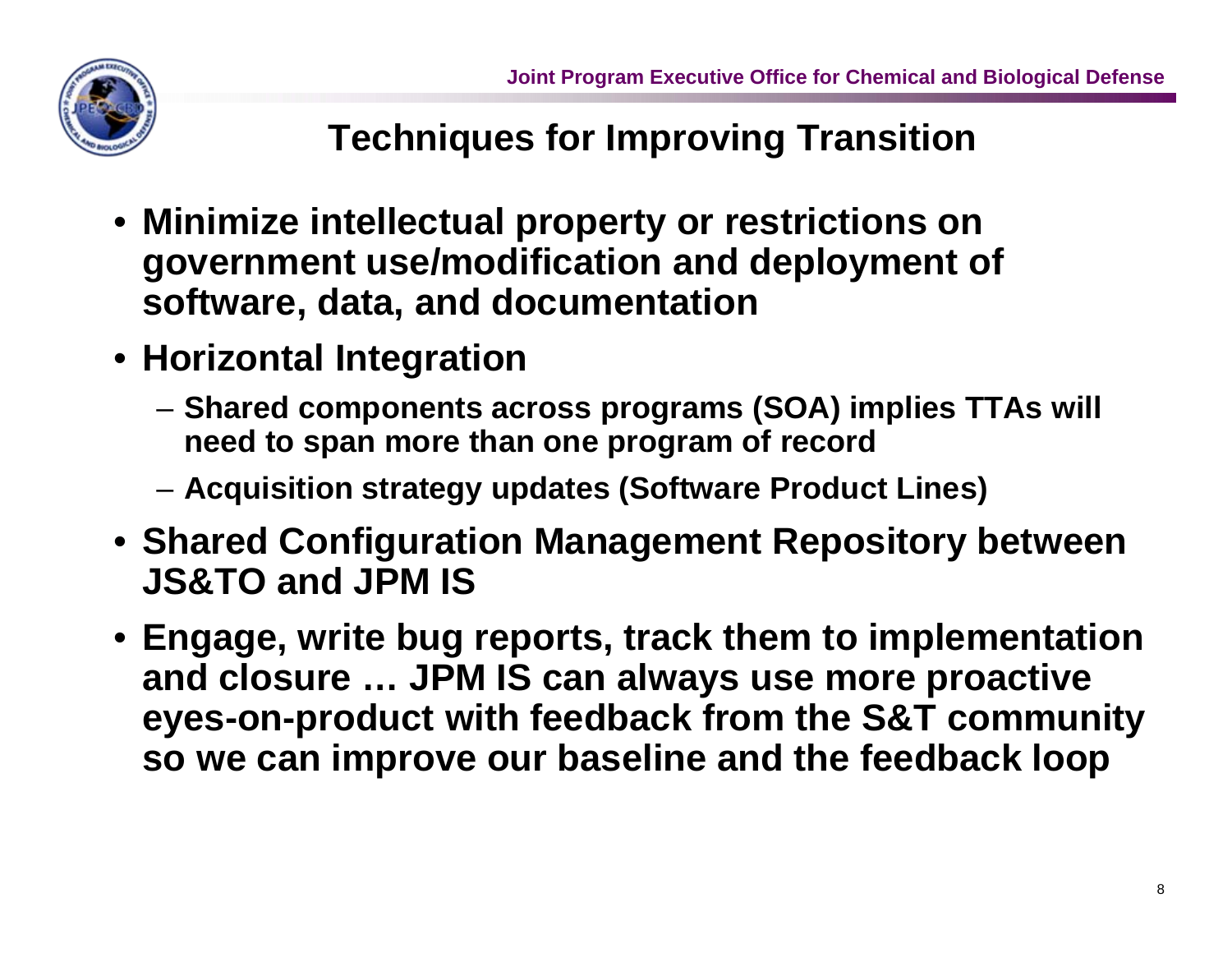

# **Techniques for Improving Transition**

- **Minimize intellectual property or restrictions on government use/modification and deployment of software, data, and documentation**
- **Horizontal Integration**
	- **Shared components across programs (SOA) implies TTAs will need to span more than one program of record**
	- **Acquisition strategy updates (Software Product Lines)**
- **Shared Configuration Management Repository between JS&TO and JPM IS**
- **Engage, write bug reports, track them to implementation and closure … JPM IS can always use more proactive eyes-on-product with feedback from the S&T community so we can improve our baseline and the feedback loop**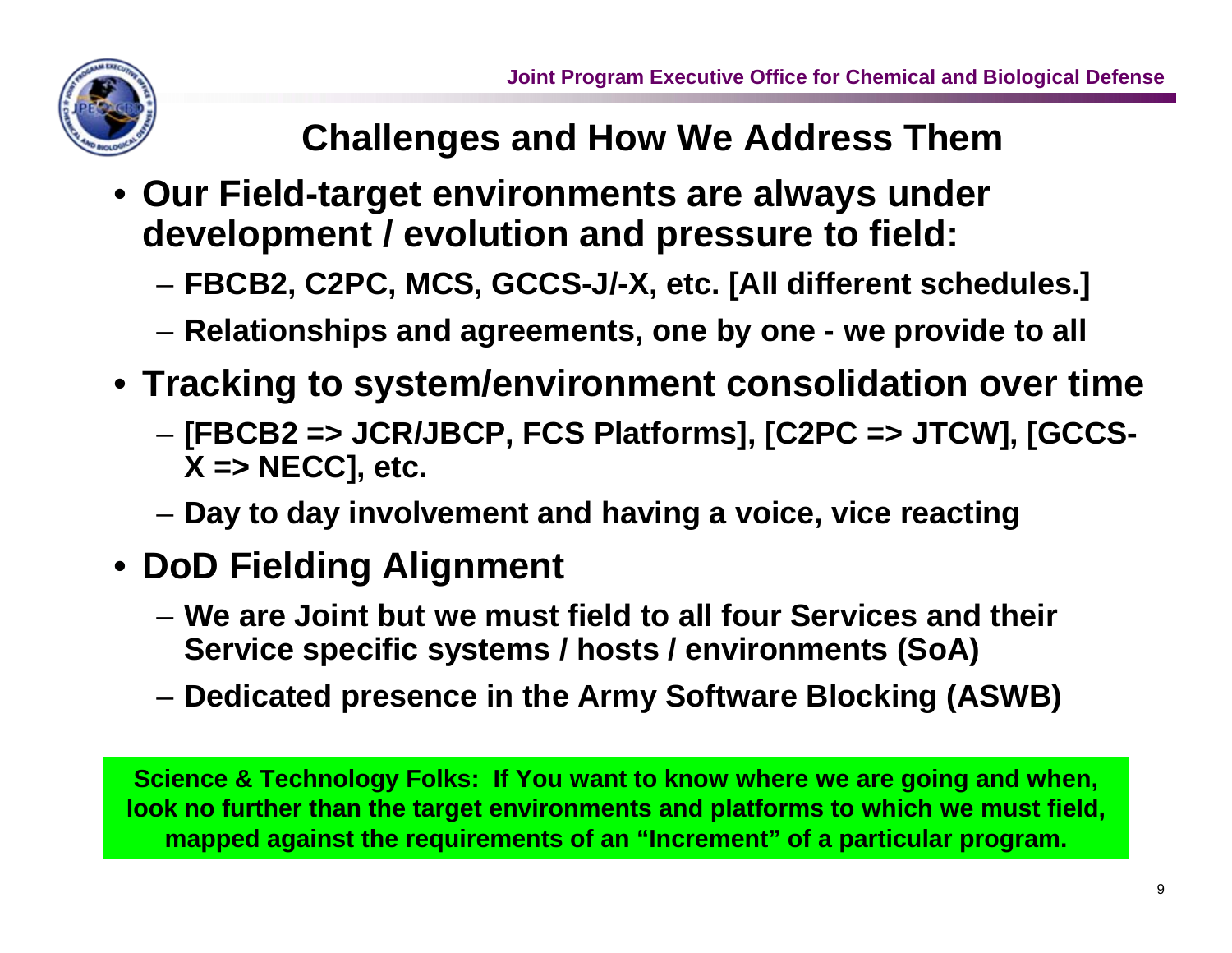

#### **Challenges and How We Address Them**

- **Our Field-target environments are always under development / evolution and pressure to field:**
	- **FBCB2, C2PC, MCS, GCCS-J/-X, etc. [All different schedules.]**
	- **Relationships and agreements, one by one we provide to all**
- **Tracking to system/environment consolidation over time**
	- **[FBCB2 => JCR/JBCP, FCS Platforms], [C2PC => JTCW], [GCCS-X => NECC], etc.**
	- **Day to day involvement and having a voice, vice reacting**
- **DoD Fielding Alignment**
	- **We are Joint but we must field to all four Services and their Service specific systems / hosts / environments (SoA)**
	- **Dedicated presence in the Army Software Blocking (ASWB)**

**Science & Technology Folks: If You want to know where we are going and when, look no further than the target environments and platforms to which we must field, mapped against the requirements of an "Increment" of a particular program.**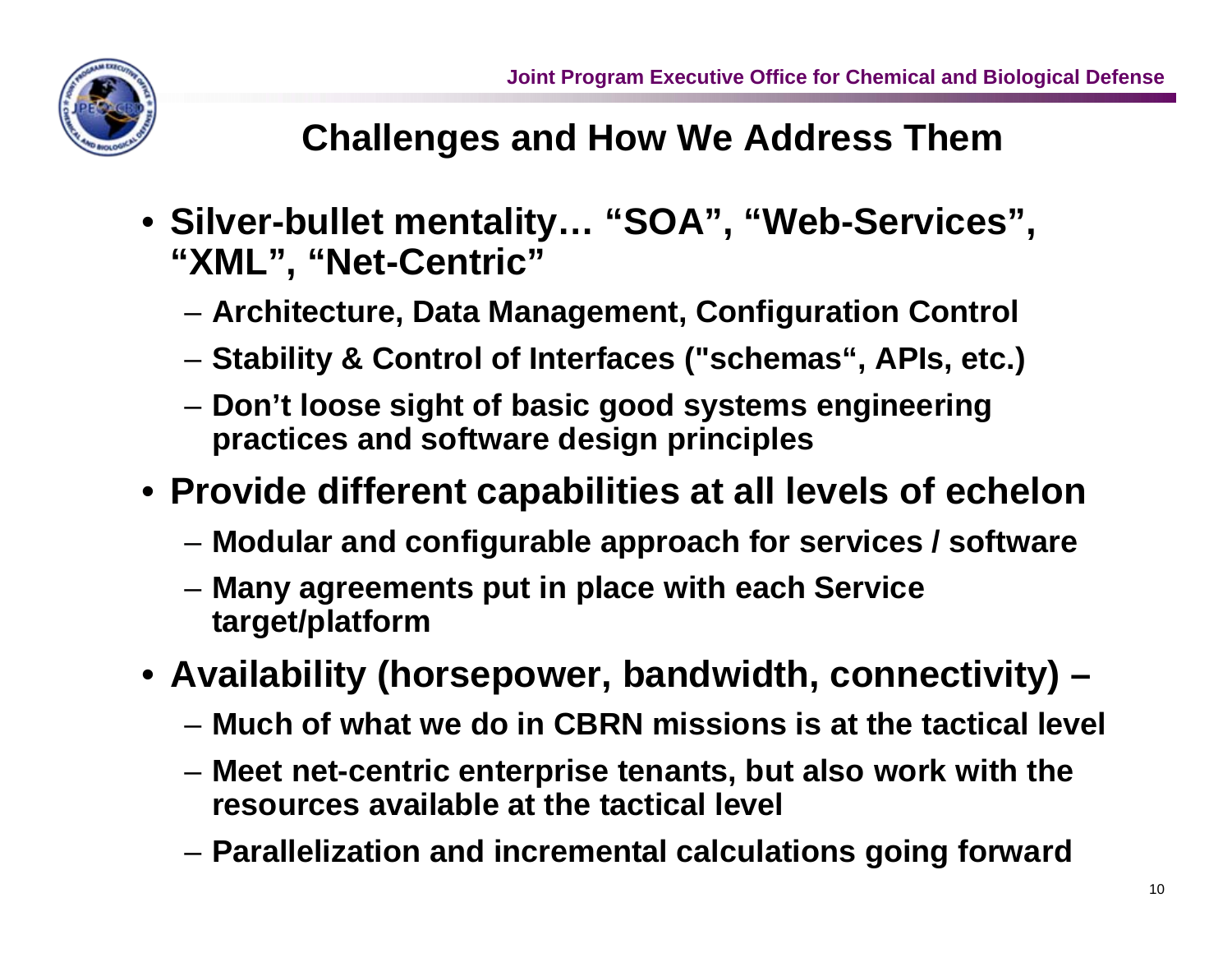

# **Challenges and How We Address Them**

- **Silver-bullet mentality… "SOA", "Web-Services", "XML", "Net-Centric"**
	- **Architecture, Data Management, Configuration Control**
	- **Stability & Control of Interfaces ("schemas", APIs, etc.)**
	- **Don't loose sight of basic good systems engineering practices and software design principles**
- **Provide different capabilities at all levels of echelon**
	- **Modular and configurable approach for services / software**
	- **Many agreements put in place with each Service target/platform**
- **Availability (horsepower, bandwidth, connectivity) –**
	- **Much of what we do in CBRN missions is at the tactical level**
	- **Meet net-centric enterprise tenants, but also work with the resources available at the tactical level**
	- **Parallelization and incremental calculations going forward**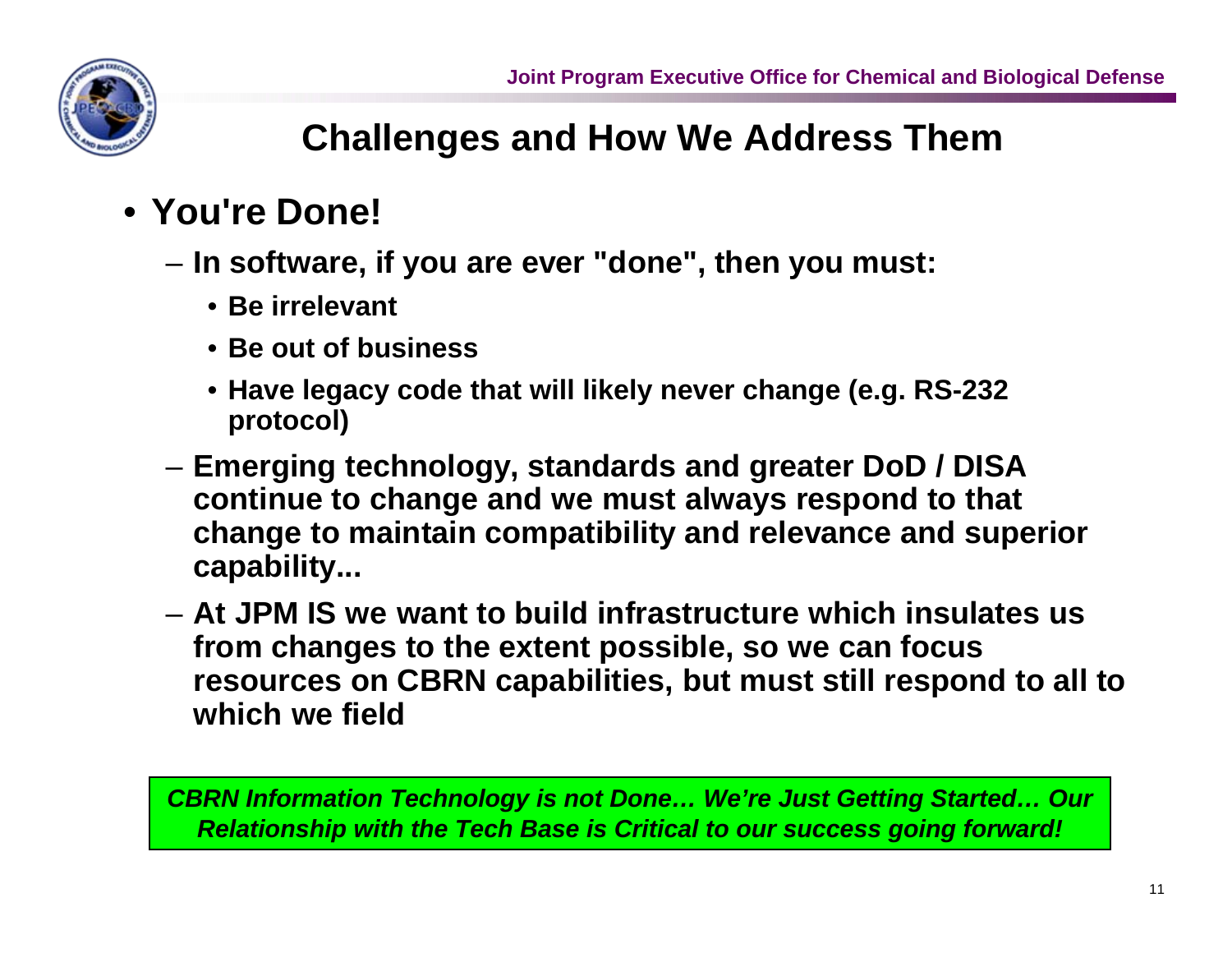

# **Challenges and How We Address Them**

# • **You're Done!**

- **In software, if you are ever "done", then you must:**
	- **Be irrelevant**
	- **Be out of business**
	- **Have legacy code that will likely never change (e.g. RS-232 protocol)**
- **Emerging technology, standards and greater DoD / DISA continue to change and we must always respond to that change to maintain compatibility and relevance and superior capability...**
- **At JPM IS we want to build infrastructure which insulates us from changes to the extent possible, so we can focus resources on CBRN capabilities, but must still respond to all to which we field**

*CBRN Information Technology is not Done… We're Just Getting Started… Our Relationship with the Tech Base is Critical to our success going forward!*